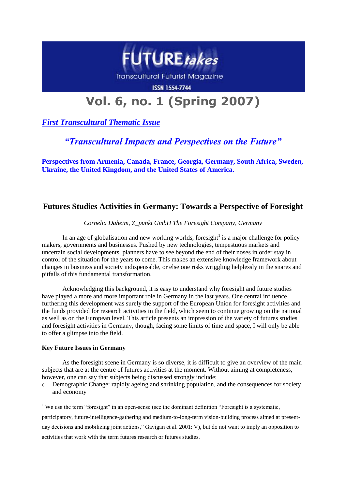

**Transcultural Futurist Magazine** 

#### **ISSN 1554-7744**

# **Vol. 6, no. 1 (Spring 2007)**

*First Transcultural Thematic Issue*

## *"Transcultural Impacts and Perspectives on the Future"*

**Perspectives from Armenia, Canada, France, Georgia, Germany, South Africa, Sweden, Ukraine, the United Kingdom, and the United States of America.**

### **Futures Studies Activities in Germany: Towards a Perspective of Foresight**

*Cornelia Daheim, Z\_punkt GmbH The Foresight Company, Germany*

In an age of globalisation and new working worlds, fore sight<sup>1</sup> is a major challenge for policy makers, governments and businesses. Pushed by new technologies, tempestuous markets and uncertain social developments, planners have to see beyond the end of their noses in order stay in control of the situation for the years to come. This makes an extensive knowledge framework about changes in business and society indispensable, or else one risks wriggling helplessly in the snares and pitfalls of this fundamental transformation.

Acknowledging this background, it is easy to understand why foresight and future studies have played a more and more important role in Germany in the last years. One central influence furthering this development was surely the support of the European Union for foresight activities and the funds provided for research activities in the field, which seem to continue growing on the national as well as on the European level. This article presents an impression of the variety of futures studies and foresight activities in Germany, though, facing some limits of time and space, I will only be able to offer a glimpse into the field.

#### **Key Future Issues in Germany**

As the foresight scene in Germany is so diverse, it is difficult to give an overview of the main subjects that are at the centre of futures activities at the moment. Without aiming at completeness, however, one can say that subjects being discussed strongly include:

o Demographic Change: rapidly ageing and shrinking population, and the consequences for society and economy 1

<sup>&</sup>lt;sup>1</sup> We use the term "foresight" in an open-sense (see the dominant definition "Foresight is a systematic,

participatory, future-intelligence-gathering and medium-to-long-term vision-building process aimed at presentday decisions and mobilizing joint actions," Gavigan et al. 2001: V), but do not want to imply an opposition to activities that work with the term futures research or futures studies.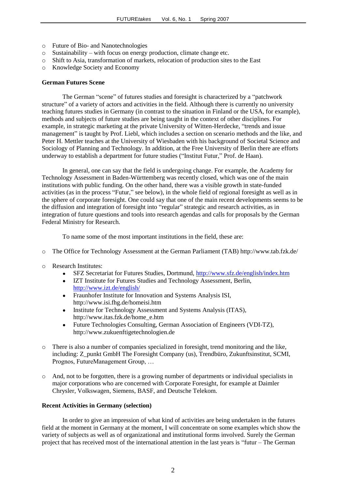- o Future of Bio- and Nanotechnologies
- o Sustainability with focus on energy production, climate change etc.
- o Shift to Asia, transformation of markets, relocation of production sites to the East
- o Knowledge Society and Economy

#### **German Futures Scene**

The German "scene" of futures studies and foresight is characterized by a "patchwork structure" of a variety of actors and activities in the field. Although there is currently no university teaching futures studies in Germany (in contrast to the situation in Finland or the USA, for example), methods and subjects of future studies are being taught in the context of other disciplines. For example, in strategic marketing at the private University of Witten-Herdecke, "trends and issue management" is taught by Prof. Liebl, which includes a section on scenario methods and the like, and Peter H. Mettler teaches at the University of Wiesbaden with his background of Societal Science and Sociology of Planning and Technology. In addition, at the Free University of Berlin there are efforts underway to establish a department for future studies ("Institut Futur," Prof. de Haan).

In general, one can say that the field is undergoing change. For example, the Academy for Technology Assessment in Baden-Württemberg was recently closed, which was one of the main institutions with public funding. On the other hand, there was a visible growth in state-funded activities (as in the process "Futur," see below), in the whole field of regional foresight as well as in the sphere of corporate foresight. One could say that one of the main recent developments seems to be the diffusion and integration of foresight into "regular" strategic and research activities, as in integration of future questions and tools into research agendas and calls for proposals by the German Federal Ministry for Research.

To name some of the most important institutions in the field, these are:

- o The Office for Technology Assessment at the German Parliament (TAB) http://www.tab.fzk.de/
- o Research Institutes:
	- SFZ Secretariat for Futures Studies, Dortmund,<http://www.sfz.de/english/index.htm>
	- IZT Institute for Futures Studies and Technology Assessment, Berlin,  $\bullet$ <http://www.izt.de/english/>
	- $\bullet$ Fraunhofer Institute for Innovation and Systems Analysis ISI, <http://www.isi.fhg.de/homeisi.htm>
	- Institute for Technology Assessment and Systems Analysis (ITAS), [http://www.itas.fzk.de/home\\_e.htm](http://www.itas.fzk.de/home_e.htm)
	- Future Technologies Consulting, German Association of Engineers (VDI-TZ), [http://www.zukuenftigetechnologien.de](http://www.zukuenftigetechnologien.de/)
- o There is also a number of companies specialized in foresight, trend monitoring and the like, including: Z\_punkt GmbH The Foresight Company (us), Trendbüro, Zukunftsinstitut, SCMI, Prognos, FutureManagement Group, …
- o And, not to be forgotten, there is a growing number of departments or individual specialists in major corporations who are concerned with Corporate Foresight, for example at Daimler Chrysler, Volkswagen, Siemens, BASF, and Deutsche Telekom.

#### **Recent Activities in Germany (selection)**

In order to give an impression of what kind of activities are being undertaken in the futures field at the moment in Germany at the moment, I will concentrate on some examples which show the variety of subjects as well as of organizational and institutional forms involved. Surely the German project that has received most of the international attention in the last years is "futur – The German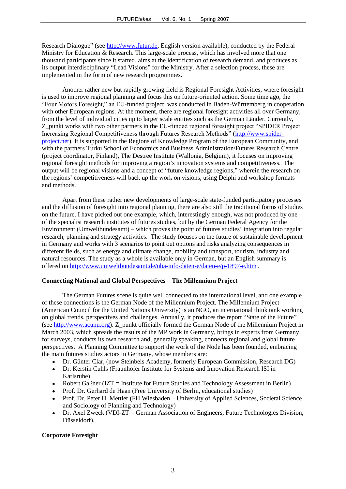Research Dialogue" (see [http://www.futur.de,](http://www.futur.de/) English version available), conducted by the Federal Ministry for Education & Research. This large-scale process, which has involved more that one thousand participants since it started, aims at the identification of research demand, and produces as its output interdisciplinary "Lead Visions" for the Ministry. After a selection process, these are implemented in the form of new research programmes.

Another rather new but rapidly growing field is Regional Foresight Activities, where foresight is used to improve regional planning and focus this on future-oriented action. Some time ago, the "Four Motors Foresight," an EU-funded project, was conducted in Baden-Württemberg in cooperation with other European regions. At the moment, there are regional foresight activities all over Germany, from the level of individual cities up to larger scale entities such as the German Länder. Currently, Z punkt works with two other partners in the EU-funded regional foresight project "SPIDER Project: Increasing Regional Competitiveness through Futures Research Methods" [\(http://www.spider](http://www.spider-project.net/)[project.net\)](http://www.spider-project.net/). It is supported in the Regions of Knowledge Program of the European Community, and with the partners Turku School of Economics and Business Administration/Futures Research Centre (project coordinator, Finland), The Destree Institute (Wallonia, Belgium), it focuses on improving regional foresight methods for improving a region's innovation systems and competitiveness. The output will be regional visions and a concept of "future knowledge regions," wherein the research on the regions' competitiveness will back up the work on visions, using Delphi and workshop formats and methods.

Apart from these rather new developments of large-scale state-funded participatory processes and the diffusion of foresight into regional planning, there are also still the traditional forms of studies on the future. I have picked out one example, which, interestingly enough, was not produced by one of the specialist research institutes of futures studies, but by the German Federal Agency for the Environment (Umweltbundesamt) – which proves the point of futures studies' integration into regular research, planning and strategy activities. The study focuses on the future of sustainable development in Germany and works with 3 scenarios to point out options and risks analyzing consequences in different fields, such as energy and climate change, mobility and transport, tourism, industry and natural resources. The study as a whole is available only in German, but an English summary is offered on<http://www.umweltbundesamt.de/uba-info-daten-e/daten-e/p-1897-e.htm> .

#### **Connecting National and Global Perspectives – The Millennium Project**

The German Futures scene is quite well connected to the international level, and one example of these connections is the German Node of the Millennium Project. The Millennium Project (American Council for the United Nations University) is an NGO, an international think tank working on global trends, perspectives and challenges. Annually, it produces the report "State of the Future" (see [http://www.acunu.org\)](http://www.acunu.org/). Z\_punkt officially formed the German Node of the Millennium Project in March 2003, which spreads the results of the MP work in Germany, brings in experts from Germany for surveys, conducts its own research and, generally speaking, connects regional and global future perspectives. A Planning Committee to support the work of the Node has been founded, embracing the main futures studies actors in Germany, whose members are:

- Dr. Günter Clar, (now Steinbeis Academy, formerly European Commission, Research DG)  $\bullet$
- Dr. Kerstin Cuhls (Fraunhofer Institute for Systems and Innovation Research ISI in  $\bullet$ Karlsruhe)
- $\bullet$ Robert Gaßner (IZT = Institute for Future Studies and Technology Assessment in Berlin)
- Prof. Dr. Gerhard de Haan (Free University of Berlin, educational studies)
- Prof. Dr. Peter H. Mettler (FH Wiesbaden University of Applied Sciences, Societal Science and Sociology of Planning and Technology)
- Dr. Axel Zweck (VDI-ZT = German Association of Engineers, Future Technologies Division,  $\bullet$ Düsseldorf).

#### **Corporate Foresight**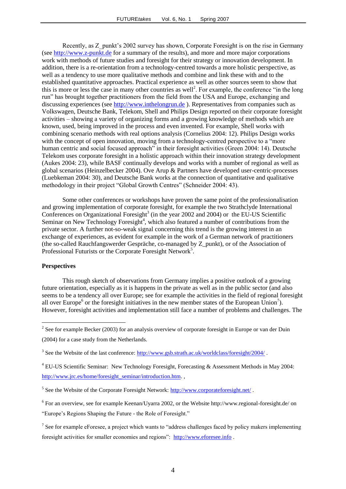Recently, as Z\_punkt's 2002 survey has shown, Corporate Foresight is on the rise in Germany (see [http://www.z-punkt.de](http://www.z-punkt.de/) for a summary of the results), and more and more major corporations work with methods of future studies and foresight for their strategy or innovation development. In addition, there is a re-orientation from a technology-centred towards a more holistic perspective, as well as a tendency to use more qualitative methods and combine and link these with and to the established quantitative approaches. Practical experience as well as other sources seem to show that this is more or less the case in many other countries as well<sup>2</sup>. For example, the conference "in the long run" has brought together practitioners from the field from the USA and Europe, exchanging and discussing experiences (see [http://www.inthelongrun.de](http://www.inthelongrun.de/) ). Representatives from companies such as Volkswagen, Deutsche Bank, Telekom, Shell and Philips Design reported on their corporate foresight activities – showing a variety of organizing forms and a growing knowledge of methods which are known, used, being improved in the process and even invented. For example, Shell works with combining scenario methods with real options analysis (Cornelius 2004: 12). Philips Design works with the concept of open innovation, moving from a technology-centred perspective to a "more human centric and social focused approach" in their foresight activities (Green 2004: 14). Deutsche Telekom uses corporate foresight in a holistic approach within their innovation strategy development (Aukes 2004: 23), while BASF continually develops and works with a number of regional as well as global scenarios (Heinzelbecker 2004). Ove Arup & Partners have developed user-centric-processes (Luebkeman 2004: 30), and Deutsche Bank works at the connection of quantitative and qualitative methodology in their project "Global Growth Centres" (Schneider 2004: 43).

Some other conferences or workshops have proven the same point of the professionalisation and growing implementation of corporate foresight, for example the two Strathclyde International Conferences on Organizational Foresight<sup>3</sup> (in the year 2002 and 2004) or the EU-US Scientific Seminar on New Technology Foresight<sup>4</sup>, which also featured a number of contributions from the private sector. A further not-so-weak signal concerning this trend is the growing interest in an exchange of experiences, as evident for example in the work of a German network of practitioners (the so-called Rauchfangswerder Gespräche, co-managed by Z\_punkt), or of the Association of Professional Futurists or the Corporate Foresight Network<sup>5</sup>.

#### **Perspectives**

<u>.</u>

This rough sketch of observations from Germany implies a positive outlook of a growing future orientation, especially as it is happens in the private as well as in the public sector (and also seems to be a tendency all over Europe; see for example the activities in the field of regional foresight all over Europe<sup>6</sup> or the foresight initiatives in the new member states of the European Union<sup>7</sup>). However, foresight activities and implementation still face a number of problems and challenges. The

<sup>&</sup>lt;sup>2</sup> See for example Becker (2003) for an analysis overview of corporate foresight in Europe or van der Duin

<sup>(2004)</sup> for a case study from the Netherlands.

<sup>&</sup>lt;sup>3</sup> See the Website of the last conference:  $\frac{http://www.gsb.strath.ac.uk/worldclass/forestight/2004/}{http://www.gsb.strath.ac.uk/worldclass/forestight/2004/}$ .

<sup>&</sup>lt;sup>4</sup> EU-US Scientific Seminar: New Technology Foresight, Forecasting & Assessment Methods in May 2004: [http://www.jrc.es/home/foresight\\_seminar/introduction.htm.](http://www.jrc.es/home/foresight_seminar/introduction.htm)

<sup>&</sup>lt;sup>5</sup> See the Website of the Corporate Foresight Network:<http://www.corporateforesight.net/>.

<sup>&</sup>lt;sup>6</sup> For an overview, see for example Keenan/Uyarra 2002, or the Website http://www.regional-foresight.de/ on

<sup>&</sup>quot;Europe's Regions Shaping the Future - the Role of Foresight."

<sup>&</sup>lt;sup>7</sup> See for example eForesee, a project which wants to "address challenges faced by policy makers implementing foresight activities for smaller economies and regions": [http://www.eforesee.info](http://www.eforesee.info/) .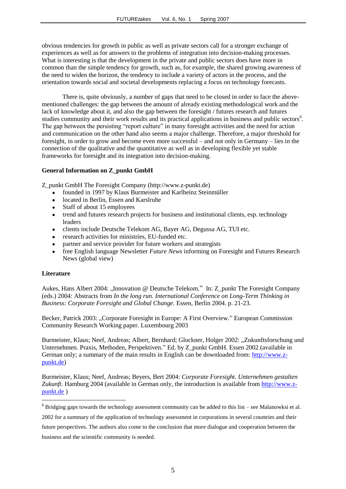obvious tendencies for growth in public as well as private sectors call for a stronger exchange of experiences as well as for answers to the problems of integration into decision-making processes. What is interesting is that the development in the private and public sectors does have more in common than the simple tendency for growth, such as, for example, the shared growing awareness of the need to widen the horizon, the tendency to include a variety of actors in the process, and the orientation towards social and societal developments replacing a focus on technology forecasts.

There is, quite obviously, a number of gaps that need to be closed in order to face the abovementioned challenges: the gap between the amount of already existing methodological work and the lack of knowledge about it, and also the gap between the foresight / futures research and futures studies community and their work results and its practical applications in business and public sectors<sup>8</sup>. The gap between the persisting "report culture" in many foresight activities and the need for action and communication on the other hand also seems a major challenge. Therefore, a major threshold for foresight, in order to grow and become even more successful – and not only in Germany – lies in the connection of the qualitative and the quantitative as well as in developing flexible yet stable frameworks for foresight and its integration into decision-making.

#### **General Information on Z\_punkt GmbH**

Z\_punkt GmbH The Foresight Company (http://www.z-punkt.de)

- founded in 1997 by Klaus Burmeister and Karlheinz Steinmüller  $\bullet$
- located in Berlin, Essen and Karslruhe
- Staff of about 15 employees
- trend and futures research projects for business and institutional clients, esp. technology leaders
- clients include Deutsche Telekom AG, Bayer AG, Degussa AG, TUI etc.  $\bullet$  .
- $\bullet$ research activities for ministries, EU-funded etc.
- $\bullet$ partner and service provider for future workers and strategists
- free English language Newsletter *Future News* informing on Foresight and Futures Research  $\bullet$ News (global view)

#### **Literature**

1

Aukes, Hans Albert 2004: "Innovation @ Deutsche Telekom." In: Z\_punkt The Foresight Company (eds.) 2004: Abstracts from *In the long run. International Conference on Long-Term Thinking in Business: Corporate Foresight and Global Change*. Essen, Berlin 2004. p. 21-23.

Becker, Patrick 2003: ..Corporate Foresight in Europe: A First Overview." European Commission Community Research Working paper. Luxembourg 2003

Burmeister, Klaus; Neef, Andreas; Albert, Bernhard; Glockner, Holger 2002: "Zukunftsforschung und Unternehmen. Praxis, Methoden, Perspektiven." Ed. by Z\_punkt GmbH. Essen 2002 (available in German only; a summary of the main results in English can be downloaded from: [http://www.z](http://www.z-punkt.de/)[punkt.de\)](http://www.z-punkt.de/)

Burmeister, Klaus; Neef, Andreas; Beyers, Bert 2004: *Corporate Foresight. Unternehmen gestalten Zukunft*. Hamburg 2004 (available in German only, the introduction is available from [http://www.z](http://www.z-punkt.de/)[punkt.de](http://www.z-punkt.de/) )

<sup>8</sup> Bridging gaps towards the technology assessment community can be added to this list – see Malanowksi et al.

<sup>2002</sup> for a summary of the application of technology assessment in corporations in several countries and their

future perspectives. The authors also come to the conclusion that more dialogue and cooperation between the business and the scientific community is needed.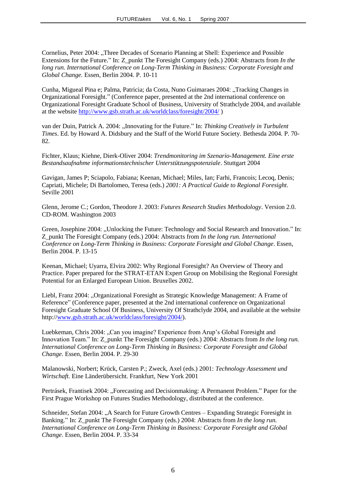Cornelius, Peter 2004: "Three Decades of Scenario Planning at Shell: Experience and Possible Extensions for the Future." In: Z\_punkt The Foresight Company (eds.) 2004: Abstracts from *In the long run. International Conference on Long-Term Thinking in Business: Corporate Foresight and Global Change.* Essen, Berlin 2004. P. 10-11

Cunha, Migueal Pina e; Palma, Patricia; da Costa, Nuno Guimaraes 2004: "Tracking Changes in Organizational Foresight." (Conference paper, presented at the 2nd international conference on Organizational Foresight Graduate School of Business, University of Strathclyde 2004, and available at the website<http://www.gsb.strath.ac.uk/worldclass/foresight/2004/> )

van der Duin, Patrick A. 2004: "Innovating for the Future." In: *Thinking Creatively in Turbulent Times*. Ed. by Howard A. Didsbury and the Staff of the World Future Society. Bethesda 2004. P. 70- 82.

Fichter, Klaus; Kiehne, Dierk-Oliver 2004: *Trendmonitoring im Szenario-Management. Eine erste Bestandsaufnahme informationstechnischer Unterstützungspotenziale*. Stuttgart 2004

Gavigan, James P; Sciapolo, Fabiana; Keenan, Michael; Miles, Ian; Farhi, Francois; Lecoq, Denis; Capriati, Michele; Di Bartolomeo, Teresa (eds.) *2001: A Practical Guide to Regional Foresight*. Seville 2001

Glenn, Jerome C.; Gordon, Theodore J. 2003: *Futures Research Studies Methodology*. Version 2.0. CD-ROM. Washington 2003

Green, Josephine 2004: "Unlocking the Future: Technology and Social Research and Innovation." In: Z\_punkt The Foresight Company (eds.) 2004: Abstracts from *In the long run. International Conference on Long-Term Thinking in Business: Corporate Foresight and Global Change*. Essen, Berlin 2004. P. 13-15

Keenan, Michael; Uyarra, Elvira 2002: Why Regional Foresight? An Overview of Theory and Practice. Paper prepared for the STRAT-ETAN Expert Group on Mobilising the Regional Foresight Potential for an Enlarged European Union. Bruxelles 2002.

Liebl, Franz 2004: "Organizational Foresight as Strategic Knowledge Management: A Frame of Reference" (Conference paper, presented at the 2nd international conference on Organizational Foresight Graduate School Of Business, University Of Strathclyde 2004, and available at the website http://www.gsb.strath.ac.uk/worldclass/foresight/2004/).

Luebkeman, Chris 2004: "Can you imagine? Experience from Arup's Global Foresight and Innovation Team." In: Z\_punkt The Foresight Company (eds.) 2004: Abstracts from *In the long run. International Conference on Long-Term Thinking in Business: Corporate Foresight and Global Change*. Essen, Berlin 2004. P. 29-30

Malanowski, Norbert; Krück, Carsten P.; Zweck, Axel (eds.) 2001: *Technology Assessment und Wirtschaft.* Eine Länderübersicht. Frankfurt, New York 2001

Pertrásek, Frantisek 2004: "Forecasting and Decisionmaking: A Permanent Problem." Paper for the First Prague Workshop on Futures Studies Methodology, distributed at the conference.

Schneider, Stefan 2004: "A Search for Future Growth Centres – Expanding Strategic Foresight in Banking." In: Z\_punkt The Foresight Company (eds.) 2004: Abstracts from *In the long run. International Conference on Long-Term Thinking in Business: Corporate Foresight and Global Change*. Essen, Berlin 2004. P. 33-34